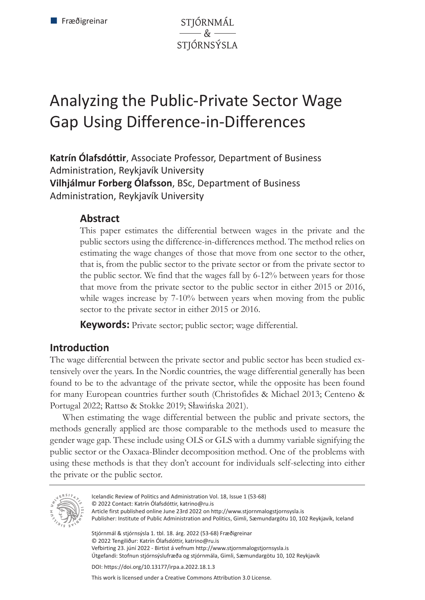STJÓRNMÁL  $\overline{\mathscr{L}}$ STJÓRNSÝSLA

# Analyzing the Public-Private Sector Wage Gap Using Difference-in-Differences

**Katrín Ólafsdóttir**, Associate Professor, Department of Business Administration, Reykjavík University **Vilhjálmur Forberg Ólafsson**, BSc, Department of Business Administration, Reykjavík University

### **Abstract**

This paper estimates the differential between wages in the private and the public sectors using the difference-in-differences method. The method relies on estimating the wage changes of those that move from one sector to the other, that is, from the public sector to the private sector or from the private sector to the public sector. We find that the wages fall by 6-12% between years for those that move from the private sector to the public sector in either 2015 or 2016, while wages increase by 7-10% between years when moving from the public sector to the private sector in either 2015 or 2016.

**Keywords:** Private sector; public sector; wage differential.

# **Introduction**

The wage differential between the private sector and public sector has been studied extensively over the years. In the Nordic countries, the wage differential generally has been found to be to the advantage of the private sector, while the opposite has been found for many European countries further south (Christofides & Michael 2013; Centeno & Portugal 2022; Rattsø & Stokke 2019; Sławińska 2021).

When estimating the wage differential between the public and private sectors, the methods generally applied are those comparable to the methods used to measure the gender wage gap. These include using OLS or GLS with a dummy variable signifying the public sector or the Oaxaca-Blinder decomposition method. One of the problems with using these methods is that they don't account for individuals self-selecting into either the private or the public sector.



Icelandic Review of Politics and Administration Vol. 18, Issue 1 (53-68) © 2022 Contact: Katrín Ólafsdóttir, katrino@ru.is Article first published online June 23rd 2022 on http://www.stjornmalogstjornsysla.is

Publisher: Institute of Public Administration and Politics, Gimli, Sæmundargötu 10, 102 Reykjavík, Iceland

Stjórnmál & stjórnsýsla 1. tbl. 18. árg. 2022 (53-68) Fræðigreinar © 2022 Tengiliður: Katrín Ólafsdóttir, katrino@ru.is Vefbirting 23. júní 2022 - Birtist á vefnum http://www.stjornmalogstjornsysla.is Útgefandi: Stofnun stjórnsýslufræða og stjórnmála, Gimli, Sæmundargötu 10, 102 Reykjavík

DOI: https://doi.org/10.13177/irpa.a.2022.18.1.3

This work is licensed under a Creative Commons Attribution 3.0 License.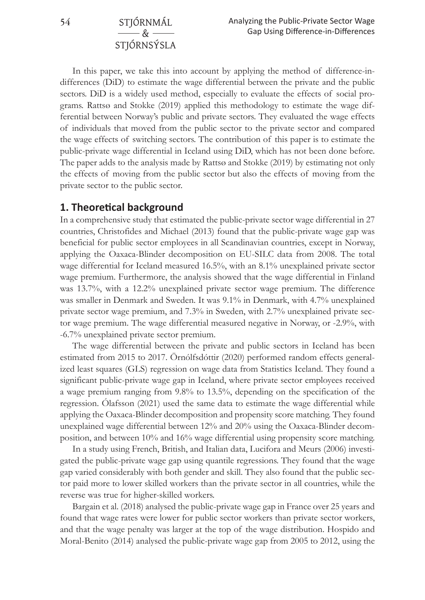**54** STJÓRNMÁL & STJÓRNSÝSLA

In this paper, we take this into account by applying the method of difference-indifferences (DiD) to estimate the wage differential between the private and the public sectors. DiD is a widely used method, especially to evaluate the effects of social programs. Rattsø and Stokke (2019) applied this methodology to estimate the wage differential between Norway's public and private sectors. They evaluated the wage effects of individuals that moved from the public sector to the private sector and compared the wage effects of switching sectors. The contribution of this paper is to estimate the public-private wage differential in Iceland using DiD, which has not been done before. The paper adds to the analysis made by Rattsø and Stokke (2019) by estimating not only the effects of moving from the public sector but also the effects of moving from the private sector to the public sector.

#### **1. Theoretical background**

In a comprehensive study that estimated the public-private sector wage differential in 27 countries, Christofides and Michael (2013) found that the public-private wage gap was beneficial for public sector employees in all Scandinavian countries, except in Norway, applying the Oaxaca-Blinder decomposition on EU-SILC data from 2008. The total wage differential for Iceland measured 16.5%, with an 8.1% unexplained private sector wage premium. Furthermore, the analysis showed that the wage differential in Finland was 13.7%, with a 12.2% unexplained private sector wage premium. The difference was smaller in Denmark and Sweden. It was 9.1% in Denmark, with 4.7% unexplained private sector wage premium, and 7.3% in Sweden, with 2.7% unexplained private sector wage premium. The wage differential measured negative in Norway, or -2.9%, with -6.7% unexplained private sector premium.

The wage differential between the private and public sectors in Iceland has been estimated from 2015 to 2017. Örnólfsdóttir (2020) performed random effects generalized least squares (GLS) regression on wage data from Statistics Iceland. They found a significant public-private wage gap in Iceland, where private sector employees received a wage premium ranging from 9.8% to 13.5%, depending on the specification of the regression. Ólafsson (2021) used the same data to estimate the wage differential while applying the Oaxaca-Blinder decomposition and propensity score matching. They found unexplained wage differential between 12% and 20% using the Oaxaca-Blinder decomposition, and between 10% and 16% wage differential using propensity score matching.

In a study using French, British, and Italian data, Lucifora and Meurs (2006) investigated the public-private wage gap using quantile regressions. They found that the wage gap varied considerably with both gender and skill. They also found that the public sector paid more to lower skilled workers than the private sector in all countries, while the reverse was true for higher-skilled workers.

Bargain et al. (2018) analysed the public-private wage gap in France over 25 years and found that wage rates were lower for public sector workers than private sector workers, and that the wage penalty was larger at the top of the wage distribution. Hospido and Moral-Benito (2014) analysed the public-private wage gap from 2005 to 2012, using the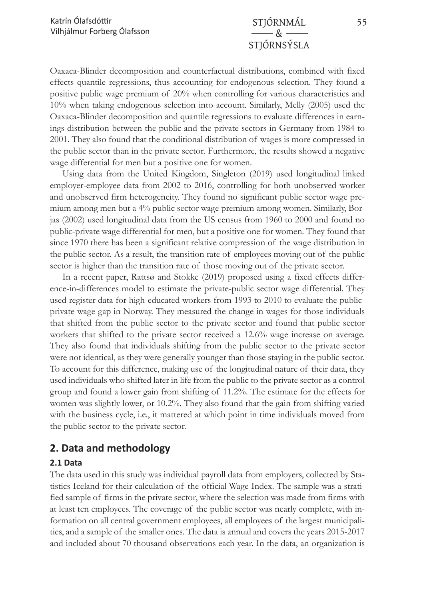# & STJÓRNSÝSLA

Oaxaca-Blinder decomposition and counterfactual distributions, combined with fixed effects quantile regressions, thus accounting for endogenous selection. They found a positive public wage premium of 20% when controlling for various characteristics and 10% when taking endogenous selection into account. Similarly, Melly (2005) used the Oaxaca-Blinder decomposition and quantile regressions to evaluate differences in earnings distribution between the public and the private sectors in Germany from 1984 to 2001. They also found that the conditional distribution of wages is more compressed in the public sector than in the private sector. Furthermore, the results showed a negative wage differential for men but a positive one for women.

Using data from the United Kingdom, Singleton (2019) used longitudinal linked employer-employee data from 2002 to 2016, controlling for both unobserved worker and unobserved firm heterogeneity. They found no significant public sector wage premium among men but a 4% public sector wage premium among women. Similarly, Borjas (2002) used longitudinal data from the US census from 1960 to 2000 and found no public-private wage differential for men, but a positive one for women. They found that since 1970 there has been a significant relative compression of the wage distribution in the public sector. As a result, the transition rate of employees moving out of the public sector is higher than the transition rate of those moving out of the private sector.

In a recent paper, Rattsø and Stokke (2019) proposed using a fixed effects difference-in-differences model to estimate the private-public sector wage differential. They used register data for high-educated workers from 1993 to 2010 to evaluate the publicprivate wage gap in Norway. They measured the change in wages for those individuals that shifted from the public sector to the private sector and found that public sector workers that shifted to the private sector received a 12.6% wage increase on average. They also found that individuals shifting from the public sector to the private sector were not identical, as they were generally younger than those staying in the public sector. To account for this difference, making use of the longitudinal nature of their data, they used individuals who shifted later in life from the public to the private sector as a control group and found a lower gain from shifting of 11.2%. The estimate for the effects for women was slightly lower, or 10.2%. They also found that the gain from shifting varied with the business cycle, i.e., it mattered at which point in time individuals moved from the public sector to the private sector.

# **2. Data and methodology**

#### **2.1 Data**

The data used in this study was individual payroll data from employers, collected by Statistics Iceland for their calculation of the official Wage Index. The sample was a stratified sample of firms in the private sector, where the selection was made from firms with at least ten employees. The coverage of the public sector was nearly complete, with information on all central government employees, all employees of the largest municipalities, and a sample of the smaller ones. The data is annual and covers the years 2015-2017 and included about 70 thousand observations each year. In the data, an organization is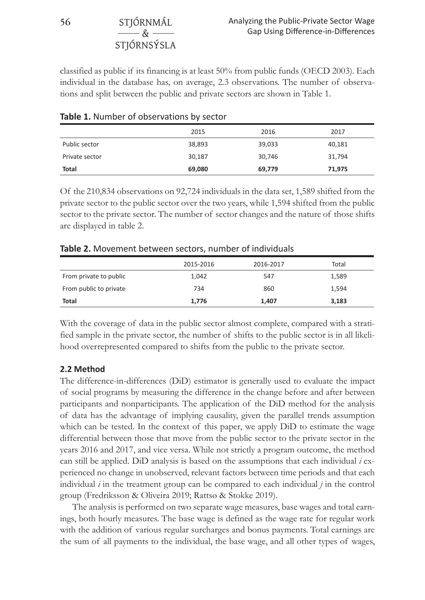#### **56** STJÓRNMÁL  $-\kappa$ STJÓRNSÝSLA

classified as public if its financing is at least 50% from public funds (OECD 2003). Each individual in the database has, on average, 2.3 observations. The number of observations and split between the public and private sectors are shown in Table 1.

|                | 2015   | 2016   | 2017   |
|----------------|--------|--------|--------|
| Public sector  | 38,893 | 39,033 | 40,181 |
| Private sector | 30,187 | 30,746 | 31,794 |
| Total          | 69,080 | 69,779 | 71,975 |

#### **Table 1.** Number of observations by sector

Of the 210,834 observations on 92,724 individuals in the data set, 1,589 shifted from the private sector to the public sector over the two years, while 1,594 shifted from the public sector to the private sector. The number of sector changes and the nature of those shifts are displayed in table 2.

|                        | 2015-2016 | 2016-2017 | Total |
|------------------------|-----------|-----------|-------|
| From private to public | 1,042     | 547       | 1,589 |
| From public to private | 734       | 860       | 1.594 |
| Total                  | 1.776     | 1.407     | 3,183 |

#### **Table 2.** Movement between sectors, number of individuals

With the coverage of data in the public sector almost complete, compared with a stratified sample in the private sector, the number of shifts to the public sector is in all likelihood overrepresented compared to shifts from the public to the private sector.

#### **2.2 Method**

The difference-in-differences (DiD) estimator is generally used to evaluate the impact of social programs by measuring the difference in the change before and after between participants and nonparticipants. The application of the DiD method for the analysis of data has the advantage of implying causality, given the parallel trends assumption which can be tested. In the context of this paper, we apply DiD to estimate the wage differential between those that move from the public sector to the private sector in the years 2016 and 2017, and vice versa. While not strictly a program outcome, the method can still be applied. DiD analysis is based on the assumptions that each individual *i* experienced no change in unobserved, relevant factors between time periods and that each individual *i* in the treatment group can be compared to each individual *j* in the control group (Fredriksson & Oliveira 2019; Rattsø & Stokke 2019).

The analysis is performed on two separate wage measures, base wages and total earnings, both hourly measures. The base wage is defined as the wage rate for regular work with the addition of various regular surcharges and bonus payments. Total earnings are the sum of all payments to the individual, the base wage, and all other types of wages,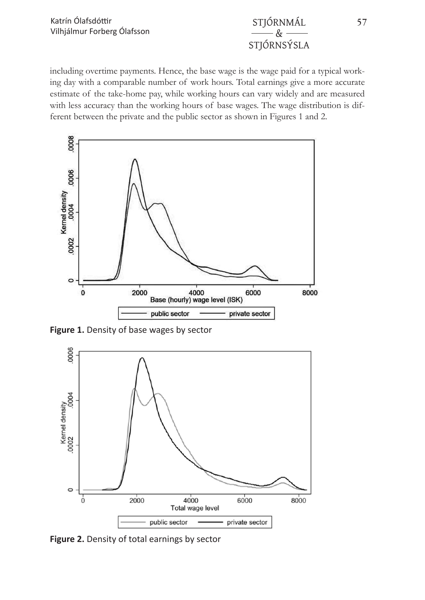# $\&$ STJÓRNSÝSLA

including overtime payments. Hence, the base wage is the wage paid for a typical working day with a comparable number of work hours. Total earnings give a more accurate estimate of the take-home pay, while working hours can vary widely and are measured with less accuracy than the working hours of base wages. The wage distribution is different between the private and the public sector as shown in Figures 1 and 2.



**Figure 1.** Density of base wages by sector



**Figure 2.** Density of total earnings by sector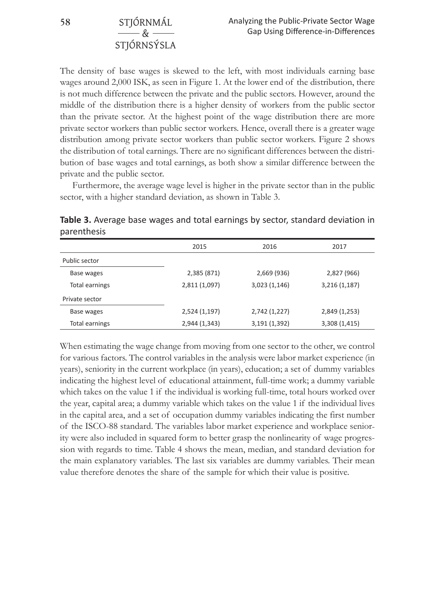**58** STJÓRNMÁL & **STIÓRNSÝSLA** 

The density of base wages is skewed to the left, with most individuals earning base wages around 2,000 ISK, as seen in Figure 1. At the lower end of the distribution, there is not much difference between the private and the public sectors. However, around the middle of the distribution there is a higher density of workers from the public sector than the private sector. At the highest point of the wage distribution there are more private sector workers than public sector workers. Hence, overall there is a greater wage distribution among private sector workers than public sector workers. Figure 2 shows the distribution of total earnings. There are no significant differences between the distribution of base wages and total earnings, as both show a similar difference between the private and the public sector.

Furthermore, the average wage level is higher in the private sector than in the public sector, with a higher standard deviation, as shown in Table 3.

| parcriticato   |               |               |               |
|----------------|---------------|---------------|---------------|
|                | 2015          | 2016          | 2017          |
| Public sector  |               |               |               |
| Base wages     | 2,385 (871)   | 2,669 (936)   | 2,827 (966)   |
| Total earnings | 2,811 (1,097) | 3,023 (1,146) | 3,216 (1,187) |
| Private sector |               |               |               |
| Base wages     | 2,524 (1,197) | 2,742 (1,227) | 2,849 (1,253) |

Total earnings 2,944 (1,343) 3,191 (1,392) 3,308 (1,415)

**Table 3.** Average base wages and total earnings by sector, standard deviation in parenthesis

When estimating the wage change from moving from one sector to the other, we control for various factors. The control variables in the analysis were labor market experience (in years), seniority in the current workplace (in years), education; a set of dummy variables indicating the highest level of educational attainment, full-time work; a dummy variable which takes on the value 1 if the individual is working full-time, total hours worked over the year, capital area; a dummy variable which takes on the value 1 if the individual lives in the capital area, and a set of occupation dummy variables indicating the first number of the ISCO-88 standard. The variables labor market experience and workplace seniority were also included in squared form to better grasp the nonlinearity of wage progression with regards to time. Table 4 shows the mean, median, and standard deviation for the main explanatory variables. The last six variables are dummy variables. Their mean value therefore denotes the share of the sample for which their value is positive.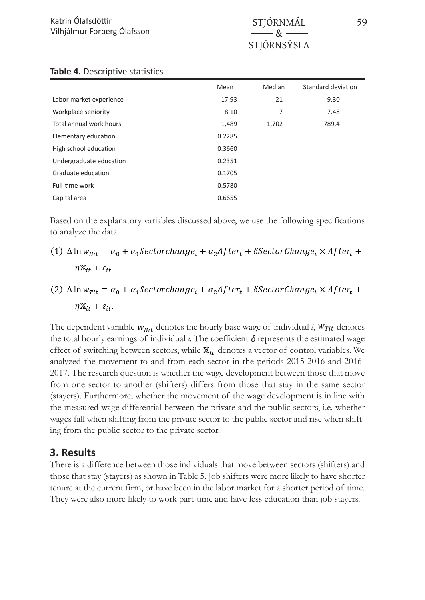|                         | Mean   | Median | Standard deviation |
|-------------------------|--------|--------|--------------------|
| Labor market experience | 17.93  | 21     | 9.30               |
| Workplace seniority     | 8.10   | 7      | 7.48               |
| Total annual work hours | 1,489  | 1,702  | 789.4              |
| Elementary education    | 0.2285 |        |                    |
| High school education   | 0.3660 |        |                    |
| Undergraduate education | 0.2351 |        |                    |
| Graduate education      | 0.1705 |        |                    |
| Full-time work          | 0.5780 |        |                    |
| Capital area            | 0.6655 |        |                    |

#### **Table 4.** Descriptive statistics

Based on the explanatory variables discussed above, we use the following specifications to analyze the data.

- (1)  $\Delta \ln w_{Bit} = \alpha_0 + \alpha_1 \text{Sector} change_i + \alpha_2 After_t + \delta \text{Sector} Change_i \times After_t +$  $\eta \mathbb{X}_{it} + \varepsilon_{it}.$
- (2)  $\Delta \ln w_{\tau it} = \alpha_0 + \alpha_1 \text{Sector change}_i + \alpha_2 \text{After}_t + \delta \text{Sector Change}_i \times \text{After}_t +$  $\eta \mathbb{X}_{it} + \varepsilon_{it}.$

The dependent variable  $w_{Bit}$  denotes the hourly base wage of individual  $i$ ,  $w_{Tit}$  denotes the total hourly earnings of individual  $i$ . The coefficient  $\delta$  represents the estimated wage effect of switching between sectors, while  $\mathbb{X}_{it}$  denotes a vector of control variables. We analyzed the movement to and from each sector in the periods 2015-2016 and 2016- 2017. The research question is whether the wage development between those that move from one sector to another (shifters) differs from those that stay in the same sector (stayers). Furthermore, whether the movement of the wage development is in line with the measured wage differential between the private and the public sectors, i.e. whether wages fall when shifting from the private sector to the public sector and rise when shifting from the public sector to the private sector.

#### **3. Results**

There is a difference between those individuals that move between sectors (shifters) and those that stay (stayers) as shown in Table 5. Job shifters were more likely to have shorter tenure at the current firm, or have been in the labor market for a shorter period of time. They were also more likely to work part-time and have less education than job stayers.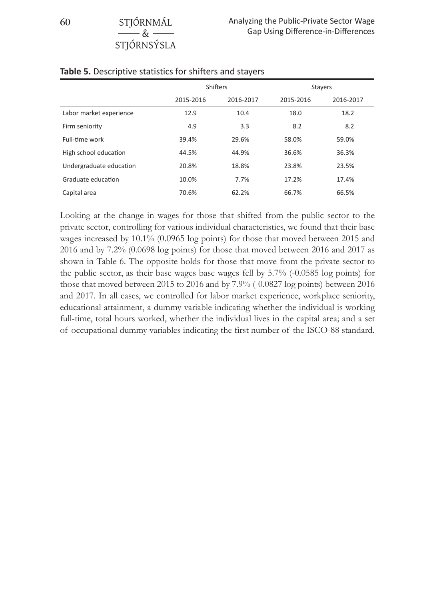| $0.1$ , $0.1$ , $1.1$ , $1.1$<br>$-\&$ |  |
|----------------------------------------|--|
| STJÓRNSÝSLA                            |  |
|                                        |  |

|                         | <b>Shifters</b> |           | <b>Stayers</b> |           |
|-------------------------|-----------------|-----------|----------------|-----------|
|                         | 2015-2016       | 2016-2017 | 2015-2016      | 2016-2017 |
| Labor market experience | 12.9            | 10.4      | 18.0           | 18.2      |
| Firm seniority          | 4.9             | 3.3       | 8.2            | 8.2       |
| Full-time work          | 39.4%           | 29.6%     | 58.0%          | 59.0%     |
| High school education   | 44.5%           | 44.9%     | 36.6%          | 36.3%     |
| Undergraduate education | 20.8%           | 18.8%     | 23.8%          | 23.5%     |
| Graduate education      | 10.0%           | 7.7%      | 17.2%          | 17.4%     |
| Capital area            | 70.6%           | 62.2%     | 66.7%          | 66.5%     |

#### **Table 5.** Descriptive statistics for shifters and stayers

Looking at the change in wages for those that shifted from the public sector to the private sector, controlling for various individual characteristics, we found that their base wages increased by 10.1% (0.0965 log points) for those that moved between 2015 and 2016 and by 7.2% (0.0698 log points) for those that moved between 2016 and 2017 as shown in Table 6. The opposite holds for those that move from the private sector to the public sector, as their base wages base wages fell by 5.7% (-0.0585 log points) for those that moved between 2015 to 2016 and by 7.9% (-0.0827 log points) between 2016 and 2017. In all cases, we controlled for labor market experience, workplace seniority, educational attainment, a dummy variable indicating whether the individual is working full-time, total hours worked, whether the individual lives in the capital area; and a set of occupational dummy variables indicating the first number of the ISCO-88 standard.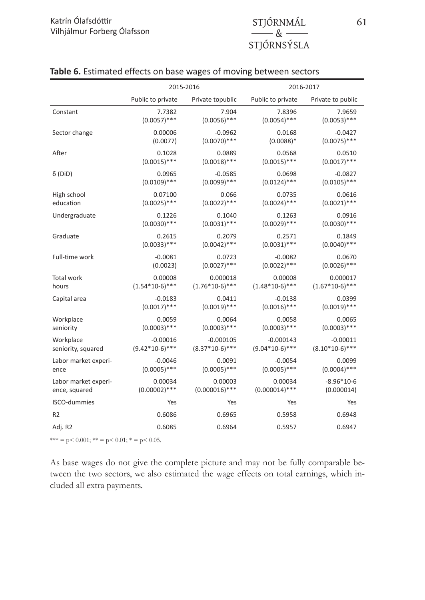|                      | 2015-2016         |                  |                   | 2016-2017         |  |
|----------------------|-------------------|------------------|-------------------|-------------------|--|
|                      | Public to private | Private topublic | Public to private | Private to public |  |
| Constant             | 7.7382            | 7.904            | 7.8396            | 7.9659            |  |
|                      | $(0.0057)$ ***    | $(0.0056)$ ***   | $(0.0054)$ ***    | $(0.0053)$ ***    |  |
| Sector change        | 0.00006           | $-0.0962$        | 0.0168            | $-0.0427$         |  |
|                      | (0.0077)          | $(0.0070)$ ***   | $(0.0088)*$       | $(0.0075)$ ***    |  |
| After                | 0.1028            | 0.0889           | 0.0568            | 0.0510            |  |
|                      | $(0.0015)$ ***    | $(0.0018)$ ***   | $(0.0015)$ ***    | $(0.0017)$ ***    |  |
| $\delta$ (DiD)       | 0.0965            | $-0.0585$        | 0.0698            | $-0.0827$         |  |
|                      | $(0.0109)$ ***    | $(0.0099)$ ***   | $(0.0124)$ ***    | $(0.0105)$ ***    |  |
| High school          | 0.07100           | 0.066            | 0.0735            | 0.0616            |  |
| education            | $(0.0025)$ ***    | $(0.0022)$ ***   | $(0.0024)$ ***    | $(0.0021)$ ***    |  |
| Undergraduate        | 0.1226            | 0.1040           | 0.1263            | 0.0916            |  |
|                      | $(0.0030)$ ***    | $(0.0031)$ ***   | $(0.0029)$ ***    | $(0.0030)$ ***    |  |
| Graduate             | 0.2615            | 0.2079           | 0.2571            | 0.1849            |  |
|                      | $(0.0033)$ ***    | $(0.0042)$ ***   | $(0.0031)$ ***    | $(0.0040)$ ***    |  |
| Full-time work       | $-0.0081$         | 0.0723           | $-0.0082$         | 0.0670            |  |
|                      | (0.0023)          | $(0.0027)$ ***   | $(0.0022)$ ***    | $(0.0026)$ ***    |  |
| <b>Total work</b>    | 0.00008           | 0.000018         | 0.00008           | 0.000017          |  |
| hours                | $(1.54*10-6)***$  | $(1.76*10-6)***$ | $(1.48*10-6)***$  | $(1.67*10-6)***$  |  |
| Capital area         | $-0.0183$         | 0.0411           | $-0.0138$         | 0.0399            |  |
|                      | $(0.0017)$ ***    | $(0.0019)$ ***   | $(0.0016)$ ***    | $(0.0019)$ ***    |  |
| Workplace            | 0.0059            | 0.0064           | 0.0058            | 0.0065            |  |
| seniority            | $(0.0003)$ ***    | $(0.0003)$ ***   | $(0.0003)$ ***    | $(0.0003)$ ***    |  |
| Workplace            | $-0.00016$        | $-0.000105$      | $-0.000143$       | $-0.00011$        |  |
| seniority, squared   | $(9.42*10-6)***$  | $(8.37*10-6)***$ | $(9.04*10-6)***$  | $(8.10*10-6)***$  |  |
| Labor market experi- | $-0.0046$         | 0.0091           | $-0.0054$         | 0.0099            |  |
| ence                 | $(0.0005)$ ***    | $(0.0005)$ ***   | $(0.0005)$ ***    | $(0.0004)$ ***    |  |
| Labor market experi- | 0.00034           | 0.00003          | 0.00034           | $-8.96*10-6$      |  |
| ence, squared        | $(0.00002)$ ***   | $(0.000016)$ *** | $(0.000014)$ ***  | (0.000014)        |  |
| <b>ISCO-dummies</b>  | Yes               | Yes              | Yes               | Yes               |  |
| R <sub>2</sub>       | 0.6086            | 0.6965           | 0.5958            | 0.6948            |  |
| Adj. R2              | 0.6085            | 0.6964           | 0.5957            | 0.6947            |  |

#### **Table 6.** Estimated effects on base wages of moving between sectors

 $*** = p < 0.001$ ;  $** = p < 0.01$ ;  $* = p < 0.05$ .

As base wages do not give the complete picture and may not be fully comparable between the two sectors, we also estimated the wage effects on total earnings, which included all extra payments.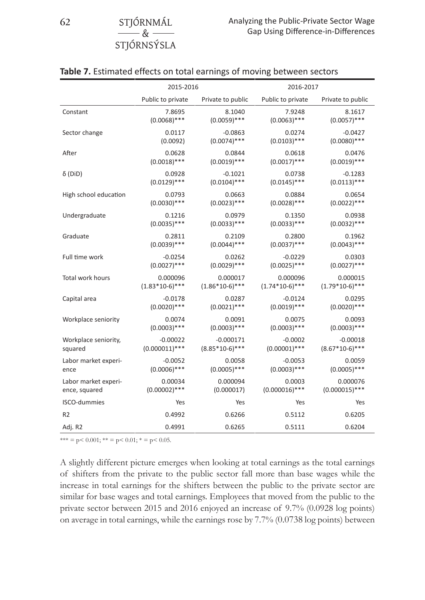| 62 | STJÓRNMÁL   |
|----|-------------|
|    | $-\alpha$   |
|    | STJÓRNSÝSLA |

|                       | 2015-2016         |                   | 2016-2017         |                   |
|-----------------------|-------------------|-------------------|-------------------|-------------------|
|                       | Public to private | Private to public | Public to private | Private to public |
| Constant              | 7.8695            | 8.1040            | 7.9248            | 8.1617            |
|                       | $(0.0068)$ ***    | $(0.0059)$ ***    | $(0.0063)$ ***    | $(0.0057)$ ***    |
| Sector change         | 0.0117            | $-0.0863$         | 0.0274            | $-0.0427$         |
|                       | (0.0092)          | $(0.0074)$ ***    | $(0.0103)$ ***    | $(0.0080)$ ***    |
| After                 | 0.0628            | 0.0844            | 0.0618            | 0.0476            |
|                       | $(0.0018)$ ***    | $(0.0019)$ ***    | $(0.0017)$ ***    | $(0.0019)$ ***    |
| $\delta$ (DiD)        | 0.0928            | $-0.1021$         | 0.0738            | $-0.1283$         |
|                       | $(0.0129)$ ***    | $(0.0104)$ ***    | $(0.0145)$ ***    | $(0.0113)$ ***    |
| High school education | 0.0793            | 0.0663            | 0.0884            | 0.0654            |
|                       | $(0.0030)$ ***    | $(0.0023)$ ***    | $(0.0028)$ ***    | $(0.0022)$ ***    |
| Undergraduate         | 0.1216            | 0.0979            | 0.1350            | 0.0938            |
|                       | $(0.0035)$ ***    | $(0.0033)$ ***    | $(0.0033)$ ***    | $(0.0032)$ ***    |
| Graduate              | 0.2811            | 0.2109            | 0.2800            | 0.1962            |
|                       | $(0.0039)$ ***    | $(0.0044)$ ***    | $(0.0037)$ ***    | $(0.0043)$ ***    |
| Full time work        | $-0.0254$         | 0.0262            | $-0.0229$         | 0.0303            |
|                       | $(0.0027)$ ***    | $(0.0029)$ ***    | $(0.0025)$ ***    | $(0.0027)$ ***    |
| Total work hours      | 0.000096          | 0.000017          | 0.000096          | 0.000015          |
|                       | $(1.83*10-6)***$  | $(1.86*10-6)***$  | $(1.74*10-6)***$  | $(1.79*10-6)***$  |
| Capital area          | $-0.0178$         | 0.0287            | $-0.0124$         | 0.0295            |
|                       | $(0.0020)$ ***    | $(0.0021)$ ***    | $(0.0019)$ ***    | $(0.0020)$ ***    |
| Workplace seniority   | 0.0074            | 0.0091            | 0.0075            | 0.0093            |
|                       | $(0.0003)$ ***    | $(0.0003)$ ***    | $(0.0003)$ ***    | $(0.0003)$ ***    |
| Workplace seniority,  | $-0.00022$        | $-0.000171$       | $-0.0002$         | $-0.00018$        |
| squared               | $(0.000011)$ ***  | $(8.85*10-6)***$  | $(0.00001)$ ***   | $(8.67*10-6)***$  |
| Labor market experi-  | $-0.0052$         | 0.0058            | $-0.0053$         | 0.0059            |
| ence                  | $(0.0006)$ ***    | $(0.0005)$ ***    | $(0.0003)$ ***    | $(0.0005)$ ***    |
| Labor market experi-  | 0.00034           | 0.000094          | 0.0003            | 0.000076          |
| ence, squared         | $(0.00002)$ ***   | (0.000017)        | $(0.000016)$ ***  | $(0.000015)$ ***  |
| ISCO-dummies          | Yes               | Yes               | Yes               | Yes               |
| R <sub>2</sub>        | 0.4992            | 0.6266            | 0.5112            | 0.6205            |
| Adj. R2               | 0.4991            | 0.6265            | 0.5111            | 0.6204            |

 $*** = p < 0.001$ ;  $** = p < 0.01$ ;  $* = p < 0.05$ .

A slightly different picture emerges when looking at total earnings as the total earnings of shifters from the private to the public sector fall more than base wages while the increase in total earnings for the shifters between the public to the private sector are similar for base wages and total earnings. Employees that moved from the public to the private sector between 2015 and 2016 enjoyed an increase of 9.7% (0.0928 log points) on average in total earnings, while the earnings rose by 7.7% (0.0738 log points) between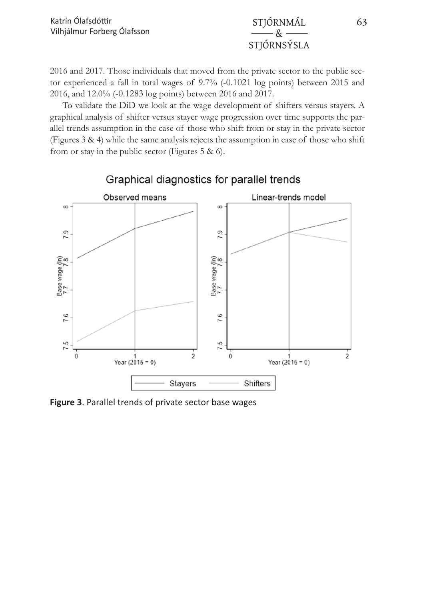& STJÓRNSÝSLA

2016 and 2017. Those individuals that moved from the private sector to the public sector experienced a fall in total wages of 9.7% (-0.1021 log points) between 2015 and 2016, and 12.0% (-0.1283 log points) between 2016 and 2017.

To validate the DiD we look at the wage development of shifters versus stayers. A graphical analysis of shifter versus stayer wage progression over time supports the parallel trends assumption in the case of those who shift from or stay in the private sector (Figures 3 & 4) while the same analysis rejects the assumption in case of those who shift from or stay in the public sector (Figures 5 & 6).



**Figure 3**. Parallel trends of private sector base wages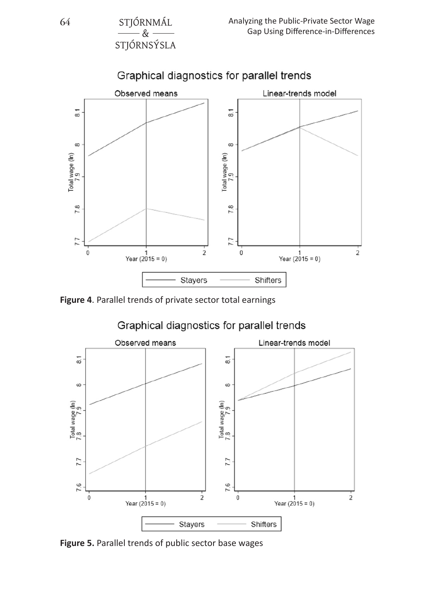& STJÓRNSÝSLA



**Figure 4**. Parallel trends of private sector total earnings



**Figure 5.** Parallel trends of public sector base wages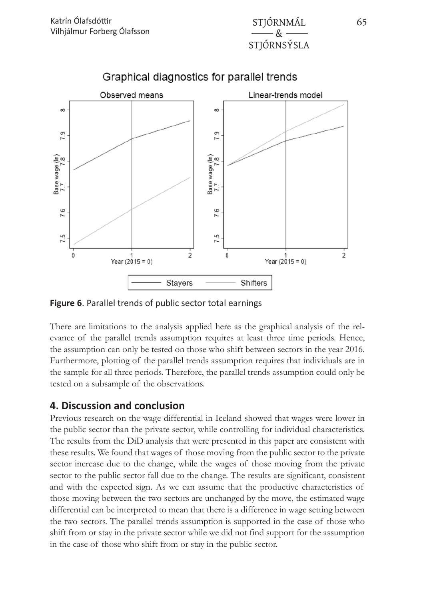



### Graphical diagnostics for parallel trends

**Figure 6**. Parallel trends of public sector total earnings

There are limitations to the analysis applied here as the graphical analysis of the relevance of the parallel trends assumption requires at least three time periods. Hence, the assumption can only be tested on those who shift between sectors in the year 2016. Furthermore, plotting of the parallel trends assumption requires that individuals are in the sample for all three periods. Therefore, the parallel trends assumption could only be tested on a subsample of the observations.

#### **4. Discussion and conclusion**

Previous research on the wage differential in Iceland showed that wages were lower in the public sector than the private sector, while controlling for individual characteristics. The results from the DiD analysis that were presented in this paper are consistent with these results. We found that wages of those moving from the public sector to the private sector increase due to the change, while the wages of those moving from the private sector to the public sector fall due to the change. The results are significant, consistent and with the expected sign. As we can assume that the productive characteristics of those moving between the two sectors are unchanged by the move, the estimated wage differential can be interpreted to mean that there is a difference in wage setting between the two sectors. The parallel trends assumption is supported in the case of those who shift from or stay in the private sector while we did not find support for the assumption in the case of those who shift from or stay in the public sector.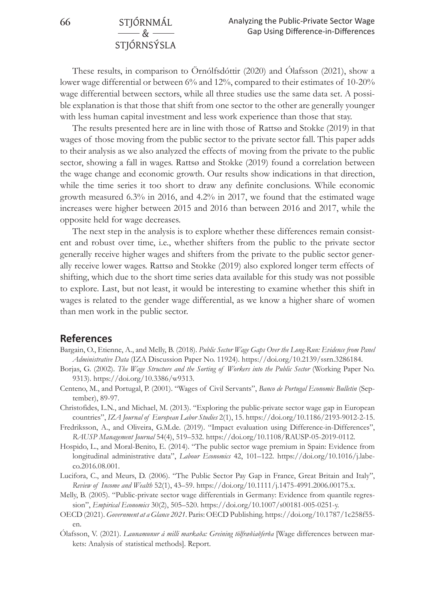#### **66** STJÓRNMÁL & STJÓRNSÝSLA

These results, in comparison to Örnólfsdóttir (2020) and Ólafsson (2021), show a lower wage differential or between 6% and 12%, compared to their estimates of 10-20% wage differential between sectors, while all three studies use the same data set. A possible explanation is that those that shift from one sector to the other are generally younger with less human capital investment and less work experience than those that stay.

The results presented here are in line with those of Rattsø and Stokke (2019) in that wages of those moving from the public sector to the private sector fall. This paper adds to their analysis as we also analyzed the effects of moving from the private to the public sector, showing a fall in wages. Rattsø and Stokke (2019) found a correlation between the wage change and economic growth. Our results show indications in that direction, while the time series it too short to draw any definite conclusions. While economic growth measured 6.3% in 2016, and 4.2% in 2017, we found that the estimated wage increases were higher between 2015 and 2016 than between 2016 and 2017, while the opposite held for wage decreases.

The next step in the analysis is to explore whether these differences remain consistent and robust over time, i.e., whether shifters from the public to the private sector generally receive higher wages and shifters from the private to the public sector generally receive lower wages. Rattsø and Stokke (2019) also explored longer term effects of shifting, which due to the short time series data available for this study was not possible to explore. Last, but not least, it would be interesting to examine whether this shift in wages is related to the gender wage differential, as we know a higher share of women than men work in the public sector.

#### **References**

- Bargain, O., Etienne, A., and Melly, B. (2018). *Public Sector Wage Gaps Over the Long-Run: Evidence from Panel Administrative Data* (IZA Discussion Paper No. 11924). https://doi.org/10.2139/ssrn.3286184.
- Borjas, G. (2002). *The Wage Structure and the Sorting of Workers into the Public Sector* (Working Paper No. 9313). https://doi.org/10.3386/w9313.
- Centeno, M., and Portugal, P. (2001). "Wages of Civil Servants", *Banco de Portugal Economic Bulletin* (September), 89-97.
- Christofides, L.N., and Michael, M. (2013). "Exploring the public-private sector wage gap in European countries", *IZA Journal of European Labor Studies* 2(1), 15. https://doi.org/10.1186/2193-9012-2-15.
- Fredriksson, A., and Oliveira, G.M.de. (2019). "Impact evaluation using Difference-in-Differences", *RAUSP Management Journal* 54(4), 519–532. https://doi.org/10.1108/RAUSP-05-2019-0112.
- Hospido, L., and Moral-Benito, E. (2014). "The public sector wage premium in Spain: Evidence from longitudinal administrative data", *Labour Economics* 42, 101–122. https://doi.org/10.1016/j.labeco.2016.08.001.
- Lucifora, C., and Meurs, D. (2006). "The Public Sector Pay Gap in France, Great Britain and Italy", *Review of Income and Wealth* 52(1), 43–59. https://doi.org/10.1111/j.1475-4991.2006.00175.x.
- Melly, B. (2005). "Public-private sector wage differentials in Germany: Evidence from quantile regression", *Empirical Economics* 30(2), 505–520. https://doi.org/10.1007/s00181-005-0251-y.
- OECD (2021). *Government at a Glance 2021*. Paris: OECD Publishing. https://doi.org/10.1787/1c258f55 en.
- Ólafsson, V. (2021). *Launamunur á milli markaða: Greining tölfræðiaðferða* [Wage differences between markets: Analysis of statistical methods]. Report.